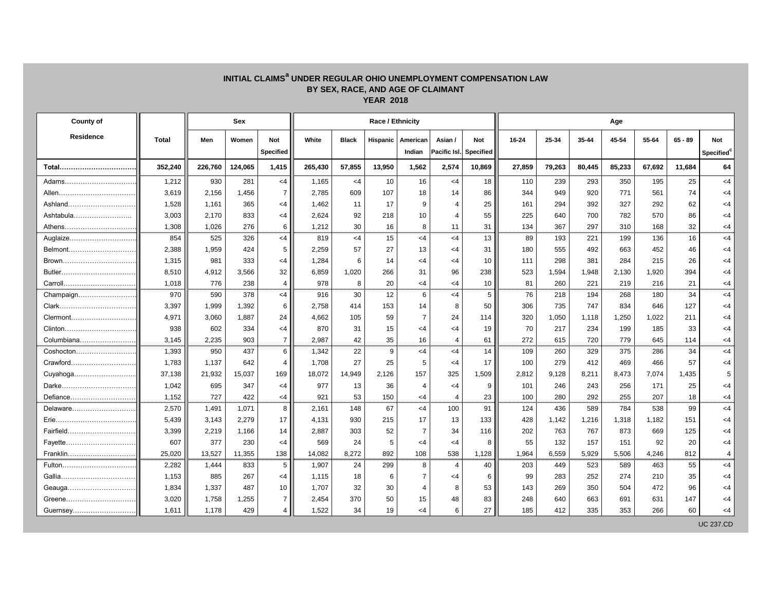## **INITIAL CLAIMS<sup>a</sup> UNDER REGULAR OHIO UNEMPLOYMENT COMPENSATION LAW BY SEX, RACE, AND AGE OF CLAIMANT YEAR 2018**

| <b>County of</b> |              |         | <b>Sex</b> |                  |         |              | <b>Race / Ethnicity</b> |                |              |                  | Age    |        |        |        |        |           |                        |  |
|------------------|--------------|---------|------------|------------------|---------|--------------|-------------------------|----------------|--------------|------------------|--------|--------|--------|--------|--------|-----------|------------------------|--|
| <b>Residence</b> | <b>Total</b> | Men     | Women      | <b>Not</b>       | White   | <b>Black</b> | <b>Hispanic</b>         | American       | Asian /      | <b>Not</b>       | 16-24  | 25-34  | 35-44  | 45-54  | 55-64  | $65 - 89$ | <b>Not</b>             |  |
|                  |              |         |            | <b>Specified</b> |         |              |                         | Indian         | Pacific Isl. | <b>Specified</b> |        |        |        |        |        |           | Specified <sup>c</sup> |  |
| Total            | 352,240      | 226,760 | 124,065    | 1,415            | 265,430 | 57,855       | 13,950                  | 1,562          | 2,574        | 10,869           | 27,859 | 79,263 | 80,445 | 85,233 | 67,692 | 11,684    | 64                     |  |
| Adams            | 1,212        | 930     | 281        | $<$ 4            | 1,165   | $<$ 4        | 10                      | 16             | $\leq$ 4     | 18               | 110    | 239    | 293    | 350    | 195    | 25        | $<$ 4                  |  |
|                  | 3,619        | 2,156   | 1,456      | $\overline{7}$   | 2,785   | 609          | 107                     | 18             | 14           | 86               | 344    | 949    | 920    | 771    | 561    | 74        | <4                     |  |
| Ashland          | 1,528        | 1,161   | 365        | $\leq 4$         | 1,462   | 11           | 17                      | 9              | 4            | 25               | 161    | 294    | 392    | 327    | 292    | 62        | <4                     |  |
| Ashtabula        | 3,003        | 2,170   | 833        | $\leq$ 4         | 2,624   | 92           | 218                     | 10             |              | 55               | 225    | 640    | 700    | 782    | 570    | 86        | <4                     |  |
| Athens           | 1,308        | 1,026   | 276        | 6                | 1,212   | 30           | 16                      | 8              | 11           | 31               | 134    | 367    | 297    | 310    | 168    | 32        | $<$ 4                  |  |
| Auglaize         | 854          | 525     | 326        | $<$ 4            | 819     | $\leq$ 4     | 15                      | $\leq$ 4       | $<$ 4        | 13               | 89     | 193    | 221    | 199    | 136    | 16        | $<$ 4                  |  |
| Belmont          | 2,388        | 1,959   | 424        | $5\overline{)}$  | 2,259   | 57           | 27                      | 13             | $\leq$ 4     | 31               | 180    | 555    | 492    | 663    | 452    | 46        | <4                     |  |
| Brown            | 1,315        | 981     | 333        | $\leq$ 4         | 1,284   | 6            | 14                      | <4             | <4           | 10               | 111    | 298    | 381    | 284    | 215    | 26        | <4                     |  |
|                  | 8,510        | 4,912   | 3,566      | 32               | 6,859   | 1,020        | 266                     | 31             | 96           | 238              | 523    | 1,594  | 1,948  | 2,130  | 1,920  | 394       | $\leq$ 4               |  |
| Carroll          | 1,018        | 776     | 238        | $\overline{4}$   | 978     | 8            | 20                      | $\leq$ 4       | $<$ 4        | 10               | 81     | 260    | 221    | 219    | 216    | 21        | $<$ 4                  |  |
| Champaign        | 970          | 590     | 378        | $<$ 4            | 916     | 30           | 12                      | 6              | $<$ 4        | 5                | 76     | 218    | 194    | 268    | 180    | 34        | $<$ 4                  |  |
| Clark            | 3,397        | 1,999   | 1,392      | 6                | 2,758   | 414          | 153                     | 14             | 8            | 50               | 306    | 735    | 747    | 834    | 646    | 127       | <4                     |  |
| Clermont         | 4,971        | 3,060   | 1,887      | 24               | 4,662   | 105          | 59                      |                | 24           | 114              | 320    | 1,050  | 1,118  | 1,250  | 1,022  | 211       | <4                     |  |
| Clinton          | 938          | 602     | 334        | <4               | 870     | 31           | 15                      | <4             | $\leq$ 4     | 19               | 70     | 217    | 234    | 199    | 185    | 33        | <4                     |  |
| Columbiana       | 3,145        | 2,235   | 903        | $\overline{7}$   | 2,987   | 42           | 35                      | 16             | 4            | 61               | 272    | 615    | 720    | 779    | 645    | 114       | $<$ 4                  |  |
| Coshocton        | 1,393        | 950     | 437        | $6\phantom{1}$   | 1,342   | 22           | 9                       | $<$ 4          | $\leq 4$     | 14               | 109    | 260    | 329    | 375    | 286    | 34        | $<$ 4                  |  |
| Crawford         | 1,783        | 1,137   | 642        | $\overline{4}$   | 1,708   | 27           | 25                      | 5              | -4           | 17               | 100    | 279    | 412    | 469    | 466    | 57        | <4                     |  |
| Cuyahoga         | 37,138       | 21,932  | 15,037     | 169              | 18,072  | 14,949       | 2,126                   | 157            | 325          | 1,509            | 2,812  | 9,128  | 8,211  | 8,473  | 7,074  | 1,435     | 5                      |  |
| Darke.           | 1,042        | 695     | 347        | $\leq 4$         | 977     | 13           | 36                      |                | <4           | 9                | 101    | 246    | 243    | 256    | 171    | 25        | <4                     |  |
| Defiance         | 1,152        | 727     | 422        | $\leq 4$         | 921     | 53           | 150                     | <4             | 4            | 23               | 100    | 280    | 292    | 255    | 207    | 18        | <4                     |  |
| Delaware         | 2,570        | 1,491   | 1,071      | 8                | 2,161   | 148          | 67                      | $<$ 4          | 100          | 91               | 124    | 436    | 589    | 784    | 538    | 99        | $\leq 4$               |  |
|                  | 5,439        | 3,143   | 2,279      | 17               | 4,131   | 930          | 215                     | 17             | 13           | 133              | 428    | 1,142  | 1,216  | 1,318  | 1,182  | 151       | <4                     |  |
| Fairfield        | 3,399        | 2,219   | 1,166      | 14               | 2,887   | 303          | 52                      | $\overline{7}$ | 34           | 116              | 202    | 763    | 767    | 873    | 669    | 125       | $\leq$ 4               |  |
| Fayette          | 607          | 377     | 230        | $<$ 4            | 569     | 24           | $\sqrt{5}$              | $\leq$ 4       | $\leq$ 4     | 8                | 55     | 132    | 157    | 151    | 92     | 20        | $<$ 4                  |  |
| Franklin         | 25,020       | 13,527  | 11,355     | 138              | 14,082  | 8,272        | 892                     | 108            | 538          | 1,128            | 1,964  | 6,559  | 5,929  | 5,506  | 4,246  | 812       | 4                      |  |
|                  | 2,282        | 1,444   | 833        | $5\overline{)}$  | 1,907   | 24           | 299                     | 8              | 4            | 40               | 203    | 449    | 523    | 589    | 463    | 55        | $<$ 4                  |  |
|                  | 1,153        | 885     | 267        | $<$ 4            | 1,115   | 18           | 6                       |                | $<$ 4        | 6.               | 99     | 283    | 252    | 274    | 210    | 35        | $<$ 4                  |  |
| Geauga           | 1,834        | 1,337   | 487        | 10 <sup>1</sup>  | 1,707   | 32           | 30                      |                | 8            | 53               | 143    | 269    | 350    | 504    | 472    | 96        | $\leq$ 4               |  |
| Greene           | 3,020        | 1,758   | 1,255      | 7 <sup>1</sup>   | 2,454   | 370          | 50                      | 15             | 48           | 83               | 248    | 640    | 663    | 691    | 631    | 147       | $\leq$ 4               |  |
| Guernsey         | 1,611        | 1,178   | 429        | $\overline{4}$   | 1,522   | 34           | 19                      | $<$ 4          | 6            | 27               | 185    | 412    | 335    | 353    | 266    | 60        | $<$ 4                  |  |
|                  |              |         |            |                  |         |              |                         |                |              |                  |        |        |        |        |        |           | <b>UC 237.CD</b>       |  |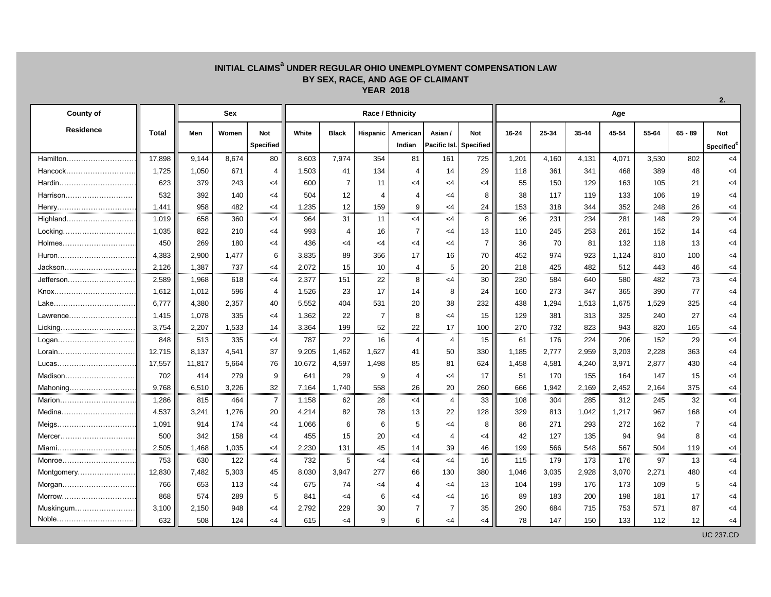## **INITIAL CLAIMS<sup>a</sup> UNDER REGULAR OHIO UNEMPLOYMENT COMPENSATION LAW BY SEX, RACE, AND AGE OF CLAIMANT YEAR 2018**

| <b>County of</b>  |              | <b>Sex</b> |       |                         |        |                       |          | <b>Race / Ethnicity</b> |                |                                      | Age   |       |       |       |       |           |                                      |  |  |  |
|-------------------|--------------|------------|-------|-------------------------|--------|-----------------------|----------|-------------------------|----------------|--------------------------------------|-------|-------|-------|-------|-------|-----------|--------------------------------------|--|--|--|
| <b>Residence</b>  | <b>Total</b> | Men        | Women | <b>Not</b><br>Specified | White  | <b>Black</b>          | Hispanic | American<br>Indian      | Asian /        | <b>Not</b><br>Pacific Isl. Specified | 16-24 | 25-34 | 35-44 | 45-54 | 55-64 | $65 - 89$ | <b>Not</b><br>Specified <sup>®</sup> |  |  |  |
| Hamilton          | 17,898       | 9,144      | 8,674 | 80                      | 8,603  | 7,974                 | 354      | 81                      | 161            | 725                                  | 1,201 | 4,160 | 4,131 | 4,071 | 3,530 | 802       | $<$ 4                                |  |  |  |
| Hancock           | 1,725        | 1,050      | 671   | 4                       | 1,503  | 41                    | 134      |                         | 14             | 29                                   | 118   | 361   | 341   | 468   | 389   | 48        | $<$ 4                                |  |  |  |
|                   | 623          | 379        | 243   | $<$ 4                   | 600    | $\overline{7}$        | 11       | <4                      | $<$ 4          | $<$ 4                                | 55    | 150   | 129   | 163   | 105   | 21        | $\leq$ 4                             |  |  |  |
| Harrison          | 532          | 392        | 140   | <4                      | 504    | 12                    | 4        | 4                       | <4             | 8                                    | 38    | 117   | 119   | 133   | 106   | 19        | $\leq$ 4                             |  |  |  |
|                   | 1,441        | 958        | 482   | $<$ 4                   | 1,235  | 12                    | 159      | 9                       | $<$ 4          | 24                                   | 153   | 318   | 344   | 352   | 248   | 26        | $\leq$ 4                             |  |  |  |
| Highland          | 1,019        | 658        | 360   | $<$ 4                   | 964    | 31                    | 11       | $<$ 4                   | $<$ 4          | 8                                    | 96    | 231   | 234   | 281   | 148   | 29        | $<$ 4                                |  |  |  |
|                   | 1,035        | 822        | 210   | $<$ 4                   | 993    | $\boldsymbol{\Delta}$ | 16       | $\overline{7}$          | $<$ 4          | 13                                   | 110   | 245   | 253   | 261   | 152   | 14        | $\leq$ 4                             |  |  |  |
| Holmes            | 450          | 269        | 180   | <4                      | 436    | <4                    | <4       | $\leq$ 4                | $<$ 4          | $\overline{7}$                       | 36    | 70    | 81    | 132   | 118   | 13        | $<$ 4                                |  |  |  |
|                   | 4,383        | 2,900      | 1,477 | 6                       | 3,835  | 89                    | 356      | 17                      | 16             | 70                                   | 452   | 974   | 923   | 1,124 | 810   | 100       | $\leq$ 4                             |  |  |  |
| Jackson           | 2,126        | 1,387      | 737   | $<$ 4                   | 2,072  | 15                    | 10       | 4                       | 5              | 20                                   | 218   | 425   | 482   | 512   | 443   | 46        | $\leq$ 4                             |  |  |  |
| Jefferson         | 2,589        | 1,968      | 618   | $<$ 4                   | 2,377  | 151                   | 22       | 8                       | $<$ 4          | 30                                   | 230   | 584   | 640   | 580   | 482   | 73        | $<$ 4                                |  |  |  |
|                   | 1,612        | 1,012      | 596   | 4                       | 1,526  | 23                    | 17       | 14                      | 8              | 24                                   | 160   | 273   | 347   | 365   | 390   | 77        | $\leq$ 4                             |  |  |  |
|                   | 6,777        | 4,380      | 2,357 | 40                      | 5,552  | 404                   | 531      | 20                      | 38             | 232                                  | 438   | ,294  | 1,513 | 1,675 | 1,529 | 325       | $<$ 4                                |  |  |  |
|                   | 1,415        | 1,078      | 335   | <4                      | 1,362  | 22                    | 7        | 8                       | <4             | 15                                   | 129   | 381   | 313   | 325   | 240   | 27        | $\leq$ 4                             |  |  |  |
| Licking           | 3,754        | 2,207      | 1,533 | 14                      | 3,364  | 199                   | 52       | 22                      | 17             | 100                                  | 270   | 732   | 823   | 943   | 820   | 165       | $<$ 4                                |  |  |  |
| Logan             | 848          | 513        | 335   | $<$ 4                   | 787    | 22                    | 16       | 4                       | 4              | 15                                   | 61    | 176   | 224   | 206   | 152   | 29        | $<$ 4                                |  |  |  |
| Lorain            | 12,715       | 8,137      | 4,541 | 37                      | 9,205  | 1,462                 | 1,627    | 41                      | 50             | 330                                  | 1,185 | 2,777 | 2,959 | 3,203 | 2,228 | 363       | $<$ 4                                |  |  |  |
| Lucas……………………………… | 17,557       | 11,817     | 5,664 | 76                      | 10,672 | 4,597                 | 1,498    | 85                      | 81             | 624                                  | 1,458 | 4,581 | 4,240 | 3,971 | 2,877 | 430       | $<$ 4                                |  |  |  |
|                   | 702          | 414        | 279   | 9                       | 641    | 29                    | 9        | 4                       | <4             | 17                                   | 51    | 170   | 155   | 164   | 147   | 15        | $\leq$ 4                             |  |  |  |
| Mahoning          | 9,768        | 6,510      | 3,226 | 32 <sub>2</sub>         | 7,164  | 1,740                 | 558      | 26                      | 20             | 260                                  | 666   | 1,942 | 2,169 | 2,452 | 2,164 | 375       | $\leq$ 4                             |  |  |  |
| Marion            | 1,286        | 815        | 464   | $\overline{7}$          | 1,158  | 62                    | 28       | $<$ 4                   | $\overline{4}$ | 33                                   | 108   | 304   | 285   | 312   | 245   | 32        | $<$ 4                                |  |  |  |
| Medina            | 4,537        | 3,241      | 1,276 | 20                      | 4,214  | 82                    | 78       | 13                      | 22             | 128                                  | 329   | 813   | 1,042 | 1,217 | 967   | 168       | $<$ 4                                |  |  |  |
|                   | 1,091        | 914        | 174   | $<$ 4                   | 1,066  | 6                     | 6        | <sub>5</sub>            | <4             | 8                                    | 86    | 271   | 293   | 272   | 162   |           | <4                                   |  |  |  |
| Mercer            | 500          | 342        | 158   | $<$ 4                   | 455    | 15                    | 20       | $\leq$ 4                | 4              | $<$ 4                                | 42    | 127   | 135   | 94    | 94    | 8         | $\leq$ 4                             |  |  |  |
| Miami             | 2,505        | 1,468      | 1,035 | $<$ 4                   | 2,230  | 131                   | 45       | 14                      | 39             | 46                                   | 199   | 566   | 548   | 567   | 504   | 119       | $<$ 4                                |  |  |  |
| Monroe            | 753          | 630        | 122   | < 4                     | 732    | 5                     | $<$ 4    | $<$ 4                   | $<$ 4          | 16                                   | 115   | 179   | 173   | 176   | 97    | 13        | $<$ 4                                |  |  |  |
|                   | 12,830       | 7,482      | 5,303 | 45                      | 8,030  | 3,947                 | 277      | 66                      | 130            | 380                                  | 1,046 | 3,035 | 2,928 | 3,070 | 2,271 | 480       | $\leq$ 4                             |  |  |  |
|                   | 766          | 653        | 113   | $<$ 4                   | 675    | 74                    | <4       |                         | $\leq$ 4       | 13                                   | 104   | 199   | 176   | 173   | 109   | 5         | <4                                   |  |  |  |
|                   | 868          | 574        | 289   | 5                       | 841    | $<$ 4                 | 6        | <4                      | $<$ 4          | 16                                   | 89    | 183   | 200   | 198   | 181   | 17        | $\leq$ 4                             |  |  |  |
| Muskingum         | 3,100        | 2,150      | 948   | $<$ 4                   | 2,792  | 229                   | 30       | $\overline{7}$          | $\overline{7}$ | 35                                   | 290   | 684   | 715   | 753   | 571   | 87        | $\leq$ 4                             |  |  |  |
| Noble             | 632          | 508        | 124   | $<$ 4                   | 615    | $<$ 4                 | 9        | 6                       | $<$ 4          | $<$ 4                                | 78    | 147   | 150   | 133   | 112   | 12        | $\leq$ 4                             |  |  |  |

UC 237.CD